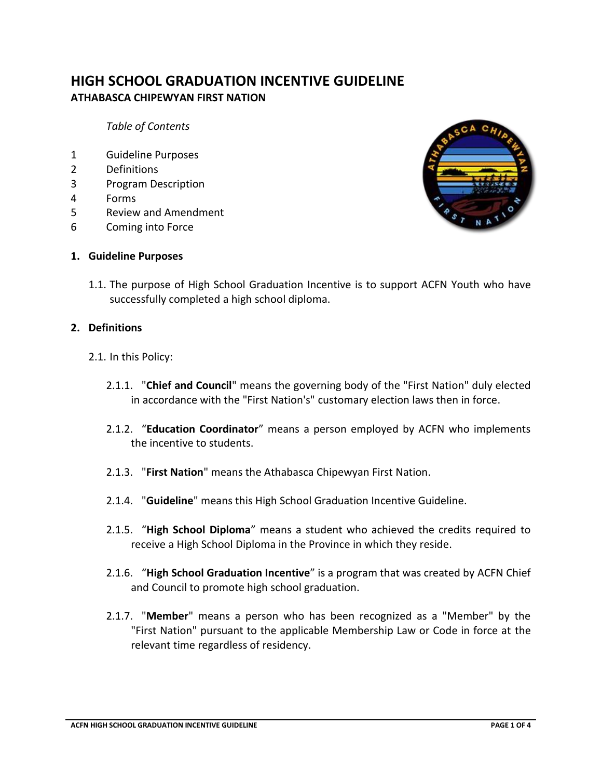# **HIGH SCHOOL GRADUATION INCENTIVE GUIDELINE ATHABASCA CHIPEWYAN FIRST NATION**

*Table of Contents*

- 1 Guideline Purposes
- 2 Definitions
- 3 Program Description
- 4 Forms
- 5 Review and Amendment
- 6 Coming into Force



#### **1. Guideline Purposes**

1.1. The purpose of High School Graduation Incentive is to support ACFN Youth who have successfully completed a high school diploma.

#### **2. Definitions**

- 2.1. In this Policy:
	- 2.1.1. "**Chief and Council**" means the governing body of the "First Nation" duly elected in accordance with the "First Nation's" customary election laws then in force.
	- 2.1.2. "**Education Coordinator**" means a person employed by ACFN who implements the incentive to students.
	- 2.1.3. "**First Nation**" means the Athabasca Chipewyan First Nation.
	- 2.1.4. "**Guideline**" means this High School Graduation Incentive Guideline.
	- 2.1.5. "**High School Diploma**" means a student who achieved the credits required to receive a High School Diploma in the Province in which they reside.
	- 2.1.6. "**High School Graduation Incentive**" is a program that was created by ACFN Chief and Council to promote high school graduation.
	- 2.1.7. "**Member**" means a person who has been recognized as a "Member" by the "First Nation" pursuant to the applicable Membership Law or Code in force at the relevant time regardless of residency.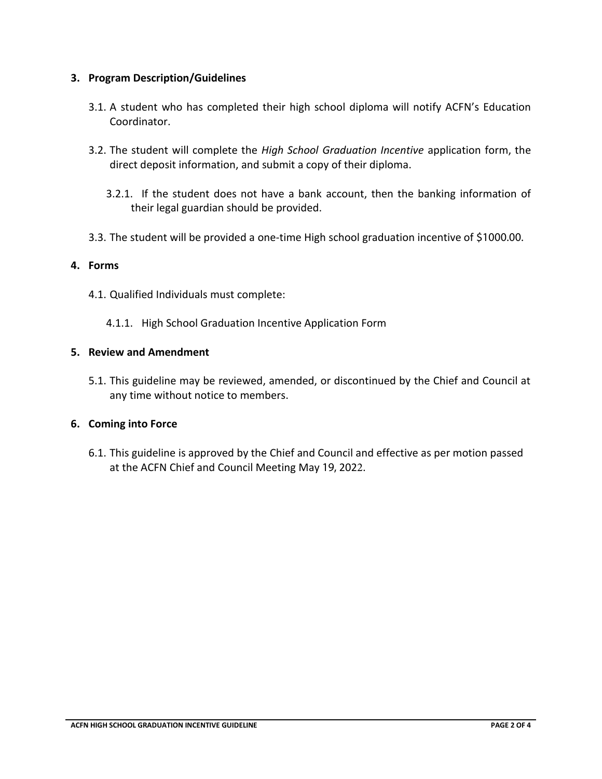## **3. Program Description/Guidelines**

- 3.1. A student who has completed their high school diploma will notify ACFN's Education Coordinator.
- 3.2. The student will complete the *High School Graduation Incentive* application form, the direct deposit information, and submit a copy of their diploma.
	- 3.2.1. If the student does not have a bank account, then the banking information of their legal guardian should be provided.
- 3.3. The student will be provided a one-time High school graduation incentive of \$1000.00.

## **4. Forms**

- 4.1. Qualified Individuals must complete:
	- 4.1.1. High School Graduation Incentive Application Form

#### **5. Review and Amendment**

5.1. This guideline may be reviewed, amended, or discontinued by the Chief and Council at any time without notice to members.

### **6. Coming into Force**

6.1. This guideline is approved by the Chief and Council and effective as per motion passed at the ACFN Chief and Council Meeting May 19, 2022.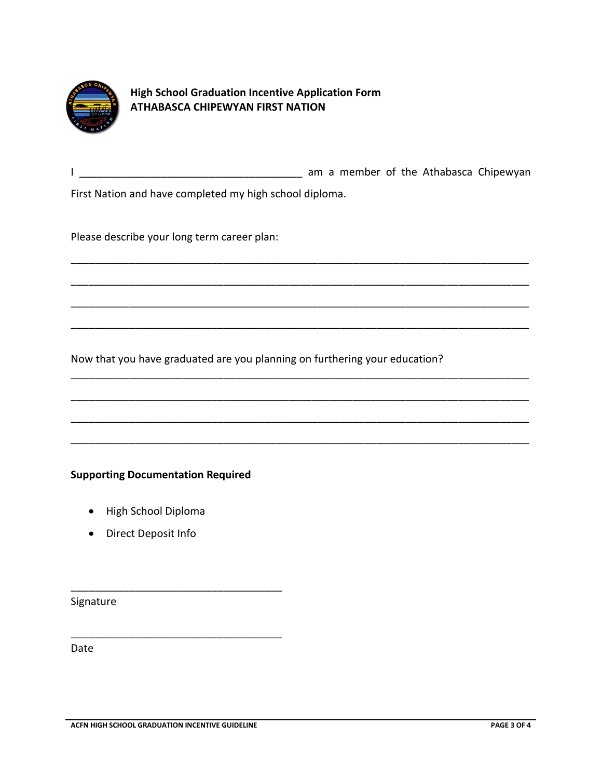

**High School Graduation Incentive Application Form ATHABASCA CHIPEWYAN FIRST NATION**

I \_\_\_\_\_\_\_\_\_\_\_\_\_\_\_\_\_\_\_\_\_\_\_\_\_\_\_\_\_\_\_\_\_\_\_\_\_\_ am a member of the Athabasca Chipewyan

\_\_\_\_\_\_\_\_\_\_\_\_\_\_\_\_\_\_\_\_\_\_\_\_\_\_\_\_\_\_\_\_\_\_\_\_\_\_\_\_\_\_\_\_\_\_\_\_\_\_\_\_\_\_\_\_\_\_\_\_\_\_\_\_\_\_\_\_\_\_\_\_\_\_\_\_\_\_

\_\_\_\_\_\_\_\_\_\_\_\_\_\_\_\_\_\_\_\_\_\_\_\_\_\_\_\_\_\_\_\_\_\_\_\_\_\_\_\_\_\_\_\_\_\_\_\_\_\_\_\_\_\_\_\_\_\_\_\_\_\_\_\_\_\_\_\_\_\_\_\_\_\_\_\_\_\_

\_\_\_\_\_\_\_\_\_\_\_\_\_\_\_\_\_\_\_\_\_\_\_\_\_\_\_\_\_\_\_\_\_\_\_\_\_\_\_\_\_\_\_\_\_\_\_\_\_\_\_\_\_\_\_\_\_\_\_\_\_\_\_\_\_\_\_\_\_\_\_\_\_\_\_\_\_\_

\_\_\_\_\_\_\_\_\_\_\_\_\_\_\_\_\_\_\_\_\_\_\_\_\_\_\_\_\_\_\_\_\_\_\_\_\_\_\_\_\_\_\_\_\_\_\_\_\_\_\_\_\_\_\_\_\_\_\_\_\_\_\_\_\_\_\_\_\_\_\_\_\_\_\_\_\_\_

\_\_\_\_\_\_\_\_\_\_\_\_\_\_\_\_\_\_\_\_\_\_\_\_\_\_\_\_\_\_\_\_\_\_\_\_\_\_\_\_\_\_\_\_\_\_\_\_\_\_\_\_\_\_\_\_\_\_\_\_\_\_\_\_\_\_\_\_\_\_\_\_\_\_\_\_\_\_

\_\_\_\_\_\_\_\_\_\_\_\_\_\_\_\_\_\_\_\_\_\_\_\_\_\_\_\_\_\_\_\_\_\_\_\_\_\_\_\_\_\_\_\_\_\_\_\_\_\_\_\_\_\_\_\_\_\_\_\_\_\_\_\_\_\_\_\_\_\_\_\_\_\_\_\_\_\_

\_\_\_\_\_\_\_\_\_\_\_\_\_\_\_\_\_\_\_\_\_\_\_\_\_\_\_\_\_\_\_\_\_\_\_\_\_\_\_\_\_\_\_\_\_\_\_\_\_\_\_\_\_\_\_\_\_\_\_\_\_\_\_\_\_\_\_\_\_\_\_\_\_\_\_\_\_\_

\_\_\_\_\_\_\_\_\_\_\_\_\_\_\_\_\_\_\_\_\_\_\_\_\_\_\_\_\_\_\_\_\_\_\_\_\_\_\_\_\_\_\_\_\_\_\_\_\_\_\_\_\_\_\_\_\_\_\_\_\_\_\_\_\_\_\_\_\_\_\_\_\_\_\_\_\_\_

First Nation and have completed my high school diploma.

Please describe your long term career plan:

Now that you have graduated are you planning on furthering your education?

**Supporting Documentation Required**

\_\_\_\_\_\_\_\_\_\_\_\_\_\_\_\_\_\_\_\_\_\_\_\_\_\_\_\_\_\_\_\_\_\_\_\_

\_\_\_\_\_\_\_\_\_\_\_\_\_\_\_\_\_\_\_\_\_\_\_\_\_\_\_\_\_\_\_\_\_\_\_\_

- High School Diploma
- Direct Deposit Info

Signature

Date